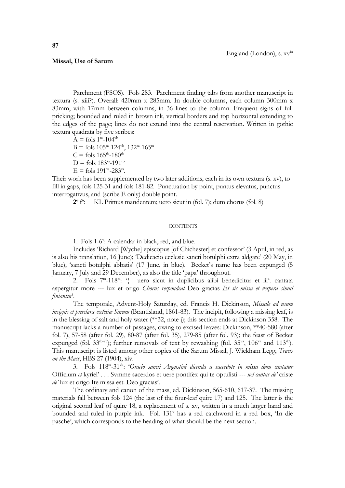## **Missal, Use of Sarum**

Parchment (FSOS). Fols 283. Parchment finding tabs from another manuscript in textura (s. xiii?). Overall: 420mm x 285mm. In double columns, each column 300mm x 83mm, with 17mm between columns, in 36 lines to the column. Frequent signs of full pricking; bounded and ruled in brown ink, vertical borders and top horizontal extending to the edges of the page; lines do not extend into the central reservation. Written in gothic textura quadrata by five scribes:

 $A = fols 1<sup>ra</sup> - 104<sup>vb</sup>$ B = fols  $105^{ra}$ -124<sup>vb</sup>,  $132^{ra}$ -165<sup>ra</sup>  $C =$  fols  $165^{th}$ -180<sup>th</sup>  $D =$  fols 183<sup>ra</sup>-191<sup>rb</sup>  $E =$  fols 191<sup>va</sup>-283<sup>ra</sup>.

Their work has been supplemented by two later additions, each in its own textura (s. xv), to fill in gaps, fols 125-31 and fols 181-82. Punctuation by point, puntus elevatus, punctus interrogativus, and (scribe E only) double point.

**2 o f o** : KL Primus mandentem; uero sicut in (fol. 7); dum chorus (fol. 8)

## **CONTENTS**

1. Fols 1-6 v : A calendar in black, red, and blue.

Includes 'Richard [Wyche] episcopus [of Chichester] et confessor' (3 April, in red, as is also his translation, 16 June); 'Dedicacio ecclesie sancti botulphi extra aldgate' (20 May, in blue); 'sancti botulphi abbatis' (17 June, in blue). Becket's name has been expunged (5 January, 7 July and 29 December), as also the title 'papa' throughout.

2. Fols 7<sup>n</sup>-118<sup>m</sup>: '|| uero sicut in duplicibus alibi benedicitur et iii<sup>a</sup>. cantata aspergitur more --- lux et origo *Chorus respondeat* Deo gracias *Et sic missa et vespera simul finiantur*'.

The temporale, Advent-Holy Saturday, ed. Francis H. Dickinson, *Missale ad usum insignis et præclaræ ecclesiæ Sarum* (Brantisland, 1861-83). The incipit, following a missing leaf, is in the blessing of salt and holy water (\*\*32, note j); this section ends at Dickinson 358. The manuscript lacks a number of passages, owing to excised leaves: Dickinson, \*\*40-580 (after fol. 7), 57-58 (after fol. 29), 80-87 (after fol. 35), 279-85 (after fol. 93); the feast of Becket expunged (fol.  $33^{r}$ <sup>b-vb</sup>); further removals of text by rewashing (fol.  $35^{v}$ <sup>a</sup>,  $106^{v}$ <sup>a</sup> and  $113^{r}$ b). This manuscript is listed among other copies of the Sarum Missal, J. Wickham Legg, *Tracts on the Mass*, HBS 27 (1904), xiv.

3. Fols 118ra -31vb: '*Oracio sancti Augustini dicenda a sacerdote in missa dum cantatur* Officium *et* kyriel' . . . Svmme sacerdos et uere pontifex qui te optulisti --- *uel cantus de'* criste *de'* lux et origo Ite missa est. Deo gracias'.

The ordinary and canon of the mass, ed. Dickinson, 565-610, 617-37. The missing materials fall between fols 124 (the last of the four-leaf quire 17) and 125. The latter is the original second leaf of quire 18, a replacement of s. xv, written in a much larger hand and bounded and ruled in purple ink. Fol. 131<sup>v</sup> has a red catchword in a red box, 'In die pasche', which corresponds to the heading of what should be the next section.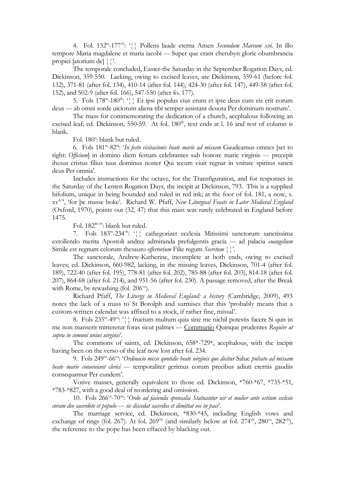4. Fol. 132ra -177vb: '¦¦ Pollens laude eterna Amen *Secundum Marcum xvi*. In illo tempore Maria magdalene et maria iacobi --- Super que erant cherubyn glorie obumbrancia propici [atorium de] ¦¦'.

The temporale concluded, Easter-the Saturday in the September Rogation Days, ed. Dickinson, 359-550. Lacking, owing to excised leaves, are Dickinson, 359-61 (before fol. 132), 371-81 (after fol. 134), 410-14 (after fol. 144), 424-30 (after fol. 147), 449-58 (after fol. 152), and 502-9 (after fol. 166), 547-550 (after fo. 177).

5. Fols 178<sup>m</sup>-180<sup>th</sup>: '|| Et ipsi populus eius erunt et ipse deus cum eis erit eorum deus --- ab omni sorde uiciorum aliena tibi semper assistant deuota Per dominum nostrum'.

The mass for commemorating the dedication of a church, acephalous following an excised leaf; ed. Dickinson, 550-59. At fol. 180<sup>th</sup>, text ends at l. 16 and rest of column is blank.

Fol. 180": blank but ruled.

6. Fols 181ra -82ra: '*In festo visitacionis beate marie ad missam* Gaudeamus omnes [set to right: *Officium*] in domino diem festum celebrantes sub honore marie virginis --- precepit ihesus cristus filius tuus dominus noster Qui tecum viuit regnat in vnitate spiritus sancti deus Per omnia'.

Includes instructions for the octave, for the Transfiguration, and for responses in the Saturday of the Lenten Rogation Days, the incipit at Dickinson, 793. This is a supplied bifolium, unique in being bounded and ruled in red ink; at the foot of fol. 181, a note, s. xv4/4 , 'for þe masse boke'. Richard W. Pfaff, *New Liturgical Feasts in Later Medieval England* (Oxford, 1970), points out (32, 47) that this mass was rarely celebrated in England before 1475.

Fol. 182<sup>rb-vb</sup>: blank but ruled.

7. Fols 183ra -234vb: '¦¦ cathegorizet ecclesia Mitissimi sanctorum sanctissima extollendo merita Apostoli andree admiranda prefulgentis gracia --- ad palacia *euangelium* Simile est regnum celorum thesauro *offertorium* Filie regum *Secretum*  $\frac{1}{1}$ .

The sanctorale, Andrew-Katherine, incomplete at both ends, owing to excised leaves; ed. Dickinson, 660-982, lacking, in the missing leaves, Dickinson, 701-4 (after fol. 189), 722-40 (after fol. 195), 778-81 (after fol. 202), 785-88 (after fol. 203), 814-18 (after fol. 207), 864-68 (after fol. 214), and 951-56 (after fol. 230). A passage removed, after the Break with Rome, by rewashing (fol. 206<sup>va</sup>).

Richard Pfaff, *The Liturgy in Medieval England: a history* (Cambridge, 2009), 493 notes the lack of a mass to St Botolph and surmises that this 'probably means that a custom-written calendar was affixed to a stock, if rather fine, missal'.

8. Fols 235<sup>m</sup>-49<sup>va</sup>: '|| fructum multum quia sine me nichil potestis facere Si quis in me non manserit mitteretur foras sicut palmes --- Communio Quinque prudentes *Require ut supra in comuni unius uirginis*'.

The commons of saints, ed. Dickinson, 658\*-729\*, acephalous, with the incipit having been on the verso of the leaf now lost after fol. 234.

9. Fols 249va -66va: '*Ordinacio misse quotidie beate uirginis que dicitur* Salue *pulsato ad missam beate marie conueniant clerici* --- temporaliter gerimus eorum precibus adiuti eternis gaudiis consequamur Per eundem'.

Votive masses, generally equivalent to those ed. Dickinson, \*760-\*67, \*735-\*51, \*783-\*827, with a good deal of reordering and omission.

10. Fols 266<sup>va</sup>-70<sup>va</sup>: 'Ordo ad facienda sponsalia Statuantur uir et mulier ante ostium ecclesie *coram deo sacerdote et populo* --- *sic discedat sacerdos et dimittat eos in pace*'.

The marriage service, ed. Dickinson, \*830-\*45, including English vows and exchange of rings (fol. 267). At fol.  $269^{\text{vb}}$  (and similarly below at fol.  $274^{\text{vb}}$ ,  $280^{\text{va}}$ ,  $282^{\text{vb}}$ ), the reference to the pope has been effaced by blacking out.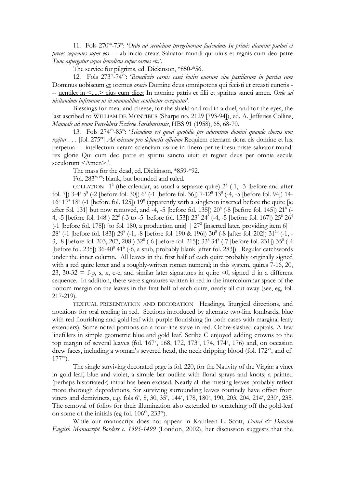11. Fols 270<sup>va</sup>-73<sup>ra</sup>: '*Ordo ad seruicium peregrinorum faciendum In primis dicantur psalmi et preces sequentes super eos* --- ab inicio creata Saluator mundi qui uiuis et regnis cum deo patre *Tunc aspergatur aqua benedicta super carnes etc.*'.

The service for pilgrims, ed. Dickinson, \*850-\*56.

12. Fols 273ra -74vb: '*Benediccio carnis casei butiri ouorum siue pastilarum in pascha cum* Dominus uobiscum et oremus *oracio* Domine deus omnipotens qui fecisti et creasti cunctis - -- uentilet in <.....> eius cum dicet In nomine patris et filii et spiritus sancti amen. *Ordo ad uisitandum infirmum ut in manualibus continetur exequatur*'.

Blessings for meat and cheese, for the shield and rod in a duel, and for the eyes, the last ascribed to WILLIAM DE MONTIBUS (Sharpe no. 2129 [793-94]), ed. A. Jefferies Collins, *Manuale ad vsum Percelebris Ecclesie Sarisburiensis*, HBS 91 (1958), 65, 68-70.

13. Fols 274<sup>vb</sup>-83<sup>ra</sup>: '*Sciendum est quod quotidie per aduentum domini quando chorus non regitur* . . . [fol. 275ra] *Ad missam pro defunctis officium* Requiem eternam dona eis domine et lux perpetua --- intellectum ueram scienciam usque in finem per te ihesu criste saluator mundi rex glorie Qui cum deo patre et spiritu sancto uiuit et regnat deus per omnia secula seculorum <Amen>.'.

The mass for the dead, ed. Dickinson, \*859-\*92.

Fol. 283<sup>th-vb</sup>: blank, but bounded and ruled.

COLLATION  $1^6$  (the calendar, as usual a separate quire)  $2^8$  (-1, -3 [before and after fol. 7]) 3-4<sup>8</sup> 5<sup>8</sup> (-2 [before fol. 30]) 6<sup>8</sup> (-1 [before fol. 36]) 7-12<sup>8</sup> 13<sup>8</sup> (-4, -5 [before fol. 94]) 14-16<sup>8</sup> 17<sup>4</sup> 18<sup>8</sup> (-1 [before fol. 125]) 19<sup>8</sup> (apparently with a singleton inserted before the quire [ie after fol. 131] but now removed, and -4, -5 [before fol. 135])  $20^8$  (-8 [before fol. 145])  $21^8$  (-4, -5 [before fol. 148])  $22^8$  (-3 to -5 [before fol. 153])  $23^8$   $24^8$  (-4, -5 [before fol. 167])  $25^8$   $26^4$  $(-1$  [before fol. 178]) [to fol. 180, a production unit]  $\mid 27^2$  [inserted later, providing item 6]  $\mid$ 28<sup>8</sup> (-1 [before fol. 183])  $29^8$  (-1, -8 [before fol. 190 & 196])  $30^8$  (-8 [after fol. 202])  $31^{10}$  (-1, -3, -8 [before fol. 203, 207, 208]) 32<sup>8</sup> (-6 [before fol. 215]) 33<sup>8</sup> 34<sup>8</sup> (-7 [before fol. 231]) 35<sup>8</sup> (-4 [before fol. 235]) 36-40<sup>8</sup> 41<sup>6</sup> (-6, a stub, probably blank [after fol. 283]). Regular catchwords under the inner column. All leaves in the first half of each quire probably originally signed with a red quire letter and a roughly-written roman numeral; in this system, quires 7-16, 20, 23, 30-32 = f-p, s, x, c-e, and similar later signatures in quire 40, signed d in a different sequence. In addition, there were signatures written in red in the intercolumnar space of the bottom margin on the leaves in the first half of each quire, nearly all cut away (see, eg, fol. 217-219).

TEXTUAL PRESENTATION AND DECORATION Headings, liturgical directions, and notations for oral reading in red. Sections introduced by alternate two-line lombards, blue with red flourishing and gold leaf with purple flourishing (in both cases with marginal leafy extenders). Some noted portions on a four-line stave in red. Ochre-slashed capitals. A few linefillers in simple geometric blue and gold leaf. Scribe C enjoyed adding crowns to the top margin of several leaves (fol.  $167<sup>v</sup>$ ,  $168$ ,  $172$ ,  $173<sup>v</sup>$ ,  $174$ ,  $174<sup>v</sup>$ ,  $176$ ) and, on occasion drew faces, including a woman's severed head, the neck dripping blood (fol.  $172^{\nu a}$ , and cf. 177va).

The single surviving decorated page is fol. 220, for the Nativity of the Virgin: a vinet in gold leaf, blue and violet, a simple bar outline with floral sprays and knots; a painted (perhaps historiated?) initial has been excised. Nearly all the missing leaves probably reflect more thorough depredations, for surviving surrounding leaves routinely have offset from vinets and demivinets, e.g. fols 6', 8, 30, 35', 144', 178, 180', 190, 203, 204, 214', 230', 235. The removal of folios for their illumination also extended to scratching off the gold-leaf on some of the initials (eg fol.  $106^{rb}$ ,  $233^{ra}$ ).

While our manuscript does not appear in Kathleen L. Scott, *Dated & Datable English Manuscript Borders c. 1395-1499* (London, 2002), her discussion suggests that the